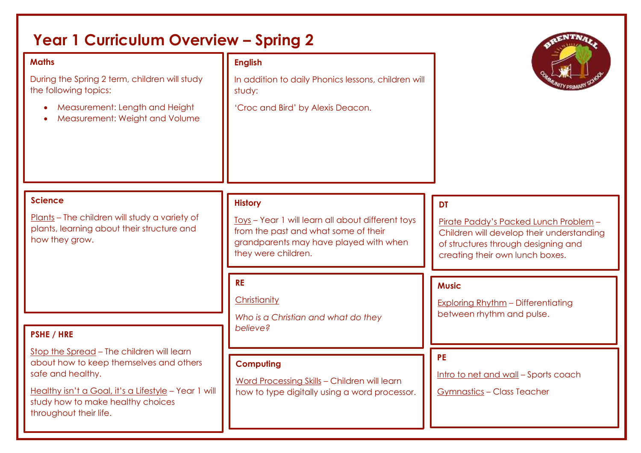| <b>Year 1 Curriculum Overview - Spring 2</b>                                                                                                                                                                                     |                                                                                                                                                                              |                                                                                                                                                                           |
|----------------------------------------------------------------------------------------------------------------------------------------------------------------------------------------------------------------------------------|------------------------------------------------------------------------------------------------------------------------------------------------------------------------------|---------------------------------------------------------------------------------------------------------------------------------------------------------------------------|
| <b>Maths</b><br>During the Spring 2 term, children will study<br>the following topics:<br>Measurement: Length and Height<br>Measurement: Weight and Volume                                                                       | <b>English</b><br>In addition to daily Phonics lessons, children will<br>study:<br>'Croc and Bird' by Alexis Deacon.                                                         |                                                                                                                                                                           |
| <b>Science</b><br>Plants - The children will study a variety of<br>plants, learning about their structure and<br>how they grow.                                                                                                  | <b>History</b><br>Toys - Year 1 will learn all about different toys<br>from the past and what some of their<br>grandparents may have played with when<br>they were children. | <b>DT</b><br>Pirate Paddy's Packed Lunch Problem -<br>Children will develop their understanding<br>of structures through designing and<br>creating their own lunch boxes. |
| <b>PSHE / HRE</b>                                                                                                                                                                                                                | <b>RE</b><br>Christianity<br>Who is a Christian and what do they<br>believe?                                                                                                 | <b>Music</b><br><b>Exploring Rhythm - Differentiating</b><br>between rhythm and pulse.                                                                                    |
| Stop the Spread - The children will learn<br>about how to keep themselves and others<br>safe and healthy.<br>Healthy isn't a Goal, it's a Lifestyle - Year 1 will<br>study how to make healthy choices<br>throughout their life. | <b>Computing</b><br>Word Processing Skills - Children will learn<br>how to type digitally using a word processor.                                                            | <b>PE</b><br>Intro to net and wall - Sports coach<br><b>Gymnastics - Class Teacher</b>                                                                                    |